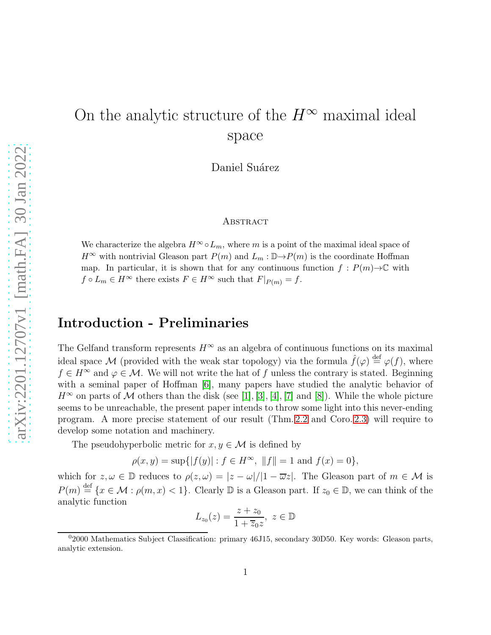# On the analytic structure of the  $H^{\infty}$  maximal ideal space

Daniel Suárez

#### **ABSTRACT**

We characterize the algebra  $H^{\infty} \circ L_m$ , where m is a point of the maximal ideal space of  $H^{\infty}$  with nontrivial Gleason part  $P(m)$  and  $L_m : \mathbb{D} \to P(m)$  is the coordinate Hoffman map. In particular, it is shown that for any continuous function  $f : P(m) \to \mathbb{C}$  with  $f \circ L_m \in H^{\infty}$  there exists  $F \in H^{\infty}$  such that  $F|_{P(m)} = f$ .

### Introduction - Preliminaries

The Gelfand transform represents  $H^{\infty}$  as an algebra of continuous functions on its maximal ideal space M (provided with the weak star topology) via the formula  $\hat{f}(\varphi) \stackrel{\text{def}}{=} \varphi(f)$ , where  $f \in H^{\infty}$  and  $\varphi \in \mathcal{M}$ . We will not write the hat of f unless the contrary is stated. Beginning with a seminal paper of Hoffman [\[6\]](#page-17-0), many papers have studied the analytic behavior of  $H^{\infty}$  on parts of M others than the disk (see [\[1\]](#page-17-1), [\[3\]](#page-17-2), [\[4\]](#page-17-3), [\[7\]](#page-17-4) and [\[8\]](#page-17-5)). While the whole picture seems to be unreachable, the present paper intends to throw some light into this never-ending program. A more precise statement of our result (Thm. [2.2](#page-5-0) and Coro. [2.3\)](#page-5-1) will require to develop some notation and machinery.

The pseudohyperbolic metric for  $x, y \in \mathcal{M}$  is defined by

$$
\rho(x, y) = \sup\{|f(y)| : f \in H^{\infty}, ||f|| = 1 \text{ and } f(x) = 0\},\
$$

which for  $z, \omega \in \mathbb{D}$  reduces to  $\rho(z, \omega) = |z - \omega|/|1 - \overline{\omega}z|$ . The Gleason part of  $m \in \mathcal{M}$  is  $P(m) \stackrel{\text{def}}{=} \{x \in \mathcal{M} : \rho(m, x) < 1\}.$  Clearly  $\mathbb D$  is a Gleason part. If  $z_0 \in \mathbb D$ , we can think of the analytic function

$$
L_{z_0}(z) = \frac{z + z_0}{1 + \overline{z}_0 z}, \ z \in \mathbb{D}
$$

 $02000$  Mathematics Subject Classification: primary 46J15, secondary 30D50. Key words: Gleason parts, analytic extension.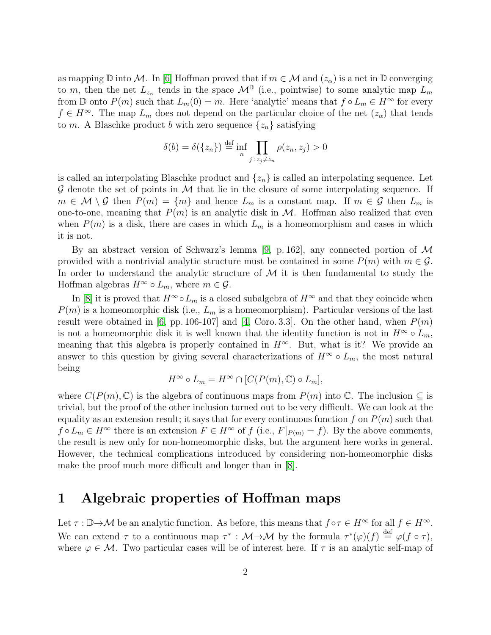as mapping  $\mathbb D$  into M. In [\[6\]](#page-17-0) Hoffman proved that if  $m \in \mathcal M$  and  $(z_\alpha)$  is a net in  $\mathbb D$  converging to m, then the net  $L_{z_{\alpha}}$  tends in the space  $\mathcal{M}^{\mathbb{D}}$  (i.e., pointwise) to some analytic map  $L_m$ from D onto  $P(m)$  such that  $L_m(0) = m$ . Here 'analytic' means that  $f \circ L_m \in H^\infty$  for every  $f \in H^{\infty}$ . The map  $L_m$  does not depend on the particular choice of the net  $(z_{\alpha})$  that tends to m. A Blaschke product b with zero sequence  $\{z_n\}$  satisfying

$$
\delta(b) = \delta(\{z_n\}) \stackrel{\text{def}}{=} \inf_n \prod_{j \,:\, z_j \neq z_n} \rho(z_n, z_j) > 0
$$

is called an interpolating Blaschke product and  $\{z_n\}$  is called an interpolating sequence. Let  $\mathcal G$  denote the set of points in  $\mathcal M$  that lie in the closure of some interpolating sequence. If  $m \in \mathcal{M} \setminus \mathcal{G}$  then  $P(m) = \{m\}$  and hence  $L_m$  is a constant map. If  $m \in \mathcal{G}$  then  $L_m$  is one-to-one, meaning that  $P(m)$  is an analytic disk in M. Hoffman also realized that even when  $P(m)$  is a disk, there are cases in which  $L_m$  is a homeomorphism and cases in which it is not.

By an abstract version of Schwarz's lemma [\[9,](#page-17-6) p. 162], any connected portion of  $\mathcal M$ provided with a nontrivial analytic structure must be contained in some  $P(m)$  with  $m \in \mathcal{G}$ . In order to understand the analytic structure of  $M$  it is then fundamental to study the Hoffman algebras  $H^{\infty} \circ L_m$ , where  $m \in \mathcal{G}$ .

In [\[8\]](#page-17-5) it is proved that  $H^{\infty} \circ L_m$  is a closed subalgebra of  $H^{\infty}$  and that they coincide when  $P(m)$  is a homeomorphic disk (i.e.,  $L_m$  is a homeomorphism). Particular versions of the last result were obtained in [\[6,](#page-17-0) pp. 106-107] and [\[4,](#page-17-3) Coro. 3.3]. On the other hand, when  $P(m)$ is not a homeomorphic disk it is well known that the identity function is not in  $H^{\infty} \circ L_m$ , meaning that this algebra is properly contained in  $H^{\infty}$ . But, what is it? We provide an answer to this question by giving several characterizations of  $H^{\infty} \circ L_m$ , the most natural being

$$
H^{\infty} \circ L_m = H^{\infty} \cap [C(P(m), \mathbb{C}) \circ L_m],
$$

where  $C(P(m), \mathbb{C})$  is the algebra of continuous maps from  $P(m)$  into  $\mathbb{C}$ . The inclusion  $\subset$  is trivial, but the proof of the other inclusion turned out to be very difficult. We can look at the equality as an extension result; it says that for every continuous function f on  $P(m)$  such that  $f \circ L_m \in H^\infty$  there is an extension  $F \in H^\infty$  of  $f$  (i.e.,  $F|_{P(m)} = f$ ). By the above comments, the result is new only for non-homeomorphic disks, but the argument here works in general. However, the technical complications introduced by considering non-homeomorphic disks make the proof much more difficult and longer than in [\[8\]](#page-17-5).

#### 1 Algebraic properties of Hoffman maps

Let  $\tau : \mathbb{D} \to \mathcal{M}$  be an analytic function. As before, this means that  $f \circ \tau \in H^{\infty}$  for all  $f \in H^{\infty}$ . We can extend  $\tau$  to a continuous map  $\tau^* : \mathcal{M} \to \mathcal{M}$  by the formula  $\tau^*(\varphi)(f) \stackrel{\text{def}}{=} \varphi(f \circ \tau)$ , where  $\varphi \in \mathcal{M}$ . Two particular cases will be of interest here. If  $\tau$  is an analytic self-map of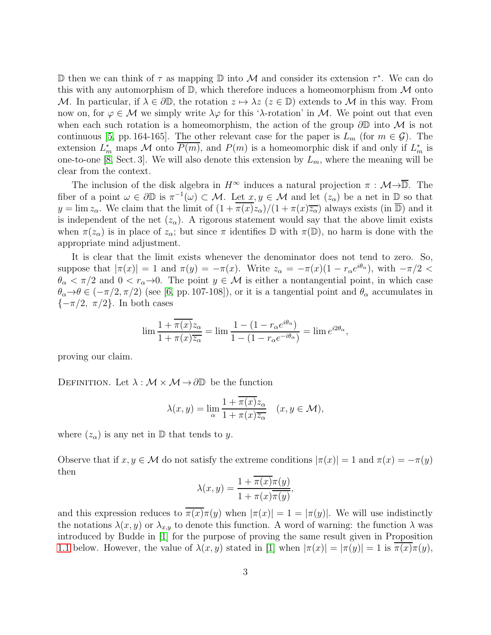$\mathbb D$  then we can think of τ as mapping  $\mathbb D$  into  $\mathcal M$  and consider its extension τ<sup>\*</sup>. We can do this with any automorphism of  $\mathbb{D}$ , which therefore induces a homeomorphism from M onto M. In particular, if  $\lambda \in \partial \mathbb{D}$ , the rotation  $z \mapsto \lambda z$  ( $z \in \mathbb{D}$ ) extends to M in this way. From now on, for  $\varphi \in \mathcal{M}$  we simply write  $\lambda \varphi$  for this ' $\lambda$ -rotation' in M. We point out that even when each such rotation is a homeomorphism, the action of the group  $\partial\mathbb{D}$  into M is not continuous [\[5,](#page-17-7) pp. 164-165]. The other relevant case for the paper is  $L_m$  (for  $m \in \mathcal{G}$ ). The extension  $L_m^*$  maps M onto  $\overline{P(m)}$ , and  $P(m)$  is a homeomorphic disk if and only if  $L_m^*$  is one-to-one [\[8,](#page-17-5) Sect. 3]. We will also denote this extension by  $L_m$ , where the meaning will be clear from the context.

The inclusion of the disk algebra in  $H^{\infty}$  induces a natural projection  $\pi : \mathcal{M} \rightarrow \overline{\mathbb{D}}$ . The fiber of a point  $\omega \in \partial \mathbb{D}$  is  $\pi^{-1}(\omega) \subset \mathcal{M}$ . Let  $x, y \in \mathcal{M}$  and let  $(z_{\alpha})$  be a net in  $\mathbb{D}$  so that  $y = \lim z_\alpha$ . We claim that the limit of  $(1 + \pi(x)z_\alpha)/(1 + \pi(x)\overline{z_\alpha})$  always exists (in  $\overline{\mathbb{D}}$ ) and it is independent of the net  $(z_\alpha)$ . A rigorous statement would say that the above limit exists when  $\pi(z_\alpha)$  is in place of  $z_\alpha$ ; but since  $\pi$  identifies  $\mathbb D$  with  $\pi(\mathbb D)$ , no harm is done with the appropriate mind adjustment.

It is clear that the limit exists whenever the denominator does not tend to zero. So, suppose that  $|\pi(x)| = 1$  and  $\pi(y) = -\pi(x)$ . Write  $z_{\alpha} = -\pi(x)(1 - r_{\alpha}e^{i\theta_{\alpha}})$ , with  $-\pi/2 <$  $\theta_{\alpha} < \pi/2$  and  $0 < r_{\alpha} \rightarrow 0$ . The point  $y \in \mathcal{M}$  is either a nontangential point, in which case  $\theta_{\alpha} \rightarrow \theta \in (-\pi/2, \pi/2)$  (see [\[6,](#page-17-0) pp. 107-108]), or it is a tangential point and  $\theta_{\alpha}$  accumulates in  ${-\pi/2, \pi/2}.$  In both cases

$$
\lim \frac{1 + \overline{\pi(x)} z_{\alpha}}{1 + \pi(x) \overline{z_{\alpha}}} = \lim \frac{1 - (1 - r_{\alpha} e^{i\theta_{\alpha}})}{1 - (1 - r_{\alpha} e^{-i\theta_{\alpha}})} = \lim e^{i2\theta_{\alpha}},
$$

proving our claim.

DEFINITION. Let  $\lambda : \mathcal{M} \times \mathcal{M} \rightarrow \partial \mathbb{D}$  be the function

$$
\lambda(x, y) = \lim_{\alpha} \frac{1 + \pi(x)z_{\alpha}}{1 + \pi(x)\overline{z_{\alpha}}} \quad (x, y \in \mathcal{M}),
$$

where  $(z_{\alpha})$  is any net in  $\mathbb{D}$  that tends to y.

Observe that if  $x, y \in M$  do not satisfy the extreme conditions  $|\pi(x)| = 1$  and  $\pi(x) = -\pi(y)$ then

$$
\lambda(x, y) = \frac{1 + \pi(x)\pi(y)}{1 + \pi(x)\overline{\pi(y)}},
$$

and this expression reduces to  $\pi(x)\pi(y)$  when  $|\pi(x)| = 1 = |\pi(y)|$ . We will use indistinctly the notations  $\lambda(x, y)$  or  $\lambda_{x,y}$  to denote this function. A word of warning: the function  $\lambda$  was introduced by Budde in [\[1\]](#page-17-1) for the purpose of proving the same result given in Proposition [1.1](#page-3-0) below. However, the value of  $\lambda(x, y)$  stated in [\[1\]](#page-17-1) when  $|\pi(x)| = |\pi(y)| = 1$  is  $\pi(x)\pi(y)$ ,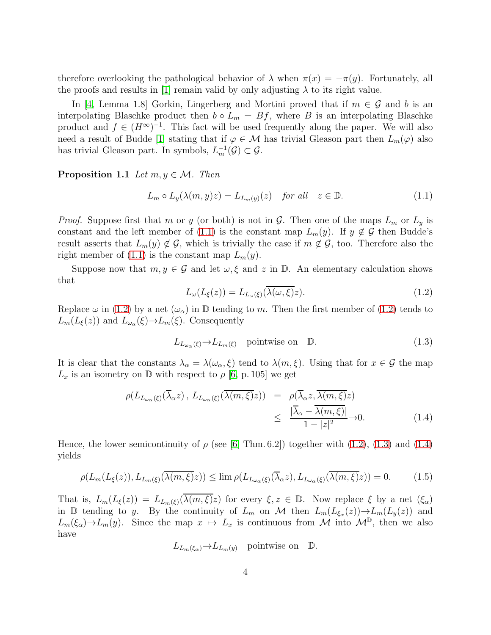therefore overlooking the pathological behavior of  $\lambda$  when  $\pi(x) = -\pi(y)$ . Fortunately, all the proofs and results in [\[1\]](#page-17-1) remain valid by only adjusting  $\lambda$  to its right value.

In [\[4,](#page-17-3) Lemma 1.8] Gorkin, Lingerberg and Mortini proved that if  $m \in \mathcal{G}$  and b is an interpolating Blaschke product then  $b \circ L_m = Bf$ , where B is an interpolating Blaschke product and  $f \in (H^{\infty})^{-1}$ . This fact will be used frequently along the paper. We will also need a result of Budde [\[1\]](#page-17-1) stating that if  $\varphi \in \mathcal{M}$  has trivial Gleason part then  $L_m(\varphi)$  also has trivial Gleason part. In symbols,  $L_m^{-1}(\mathcal{G}) \subset \mathcal{G}$ .

<span id="page-3-0"></span>**Proposition 1.1** Let  $m, y \in \mathcal{M}$ . Then

<span id="page-3-1"></span>
$$
L_m \circ L_y(\lambda(m, y)z) = L_{L_m(y)}(z) \quad \text{for all} \quad z \in \mathbb{D}.
$$
 (1.1)

*Proof.* Suppose first that m or y (or both) is not in G. Then one of the maps  $L_m$  or  $L_y$  is constant and the left member of [\(1.1\)](#page-3-1) is the constant map  $L_m(y)$ . If  $y \notin \mathcal{G}$  then Budde's result asserts that  $L_m(y) \notin \mathcal{G}$ , which is trivially the case if  $m \notin \mathcal{G}$ , too. Therefore also the right member of  $(1.1)$  is the constant map  $L_m(y)$ .

Suppose now that  $m, y \in \mathcal{G}$  and let  $\omega, \xi$  and z in  $\mathbb{D}$ . An elementary calculation shows that

<span id="page-3-2"></span>
$$
L_{\omega}(L_{\xi}(z)) = L_{L_{\omega}(\xi)}(\overline{\lambda(\omega,\xi)}z). \tag{1.2}
$$

Replace  $\omega$  in [\(1.2\)](#page-3-2) by a net  $(\omega_{\alpha})$  in  $\mathbb D$  tending to m. Then the first member of (1.2) tends to  $L_m(L_\xi(z))$  and  $L_{\omega_\alpha}(\xi) \to L_m(\xi)$ . Consequently

<span id="page-3-3"></span>
$$
L_{L_{\omega_{\alpha}}(\xi)} \to L_{L_m(\xi)} \quad \text{pointwise on} \quad \mathbb{D}.\tag{1.3}
$$

It is clear that the constants  $\lambda_{\alpha} = \lambda(\omega_{\alpha}, \xi)$  tend to  $\lambda(m, \xi)$ . Using that for  $x \in \mathcal{G}$  the map  $L_x$  is an isometry on D with respect to  $\rho$  [\[6,](#page-17-0) p. 105] we get

<span id="page-3-4"></span>
$$
\rho(L_{L_{\omega_{\alpha}}(\xi)}(\overline{\lambda}_{\alpha}z), L_{L_{\omega_{\alpha}}(\xi)}(\overline{\lambda(m,\xi)}z)) = \rho(\overline{\lambda}_{\alpha}z, \overline{\lambda(m,\xi)}z)
$$
  
 
$$
\leq \frac{|\overline{\lambda}_{\alpha} - \overline{\lambda(m,\xi)}|}{1 - |z|^2} \to 0.
$$
 (1.4)

Hence, the lower semicontinuity of  $\rho$  (see [\[6,](#page-17-0) Thm. 6.2]) together with [\(1.2\)](#page-3-2), [\(1.3\)](#page-3-3) and [\(1.4\)](#page-3-4) yields

<span id="page-3-5"></span>
$$
\rho(L_m(L_{\xi}(z)), L_{L_m(\xi)}(\overline{\lambda(m,\xi)}z)) \le \lim \rho(L_{L_{\omega_{\alpha}}(\xi)}(\overline{\lambda}_{\alpha}z), L_{L_{\omega_{\alpha}}(\xi)}(\overline{\lambda(m,\xi)}z)) = 0. \tag{1.5}
$$

That is,  $L_m(L_{\xi}(z)) = L_{L_m(\xi)}(\overline{\lambda(m,\xi)}z)$  for every  $\xi, z \in \mathbb{D}$ . Now replace  $\xi$  by a net  $(\xi_{\alpha})$ in D tending to y. By the continuity of  $L_m$  on M then  $L_m(L_{\xi_\alpha}(z)) \to L_m(L_y(z))$  and  $L_m(\xi_\alpha) \to L_m(y)$ . Since the map  $x \mapsto L_x$  is continuous from M into  $\mathcal{M}^{\mathbb{D}}$ , then we also have

$$
L_{L_m(\xi_\alpha)} \to L_{L_m(y)}
$$
 pointwise on  $\mathbb{D}$ .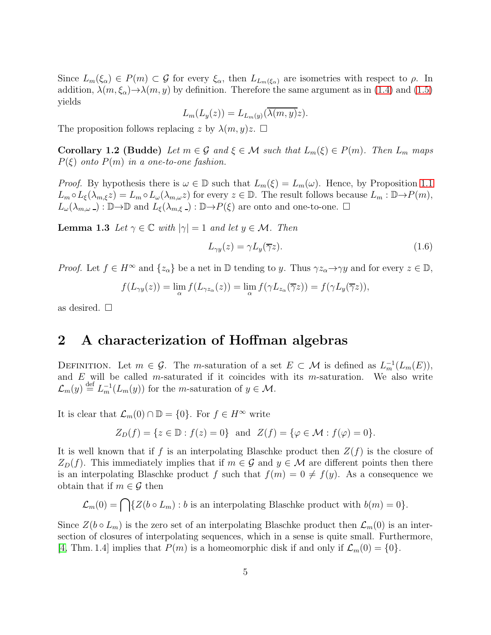Since  $L_m(\xi_\alpha) \in P(m) \subset \mathcal{G}$  for every  $\xi_\alpha$ , then  $L_{L_m(\xi_\alpha)}$  are isometries with respect to  $\rho$ . In addition,  $\lambda(m,\xi_{\alpha})\rightarrow\lambda(m,y)$  by definition. Therefore the same argument as in [\(1.4\)](#page-3-4) and [\(1.5\)](#page-3-5) yields

$$
L_m(L_y(z)) = L_{L_m(y)}(\overline{\lambda(m, y)}z).
$$

<span id="page-4-0"></span>The proposition follows replacing z by  $\lambda(m, y)z$ .  $\Box$ 

Corollary 1.2 (Budde) Let  $m \in \mathcal{G}$  and  $\xi \in \mathcal{M}$  such that  $L_m(\xi) \in P(m)$ . Then  $L_m$  maps  $P(\xi)$  onto  $P(m)$  in a one-to-one fashion.

*Proof.* By hypothesis there is  $\omega \in \mathbb{D}$  such that  $L_m(\xi) = L_m(\omega)$ . Hence, by Proposition [1.1](#page-3-0)  $L_m \circ L_{\xi}(\lambda_{m,\xi}z) = L_m \circ L_{\omega}(\lambda_{m,\omega}z)$  for every  $z \in \mathbb{D}$ . The result follows because  $L_m : \mathbb{D} \to P(m)$ ,  $L_{\omega}(\lambda_{m,\omega}) : \mathbb{D} \to \mathbb{D}$  and  $L_{\xi}(\lambda_{m,\xi}) : \mathbb{D} \to P(\xi)$  are onto and one-to-one.  $\Box$ 

<span id="page-4-2"></span>**Lemma 1.3** Let  $\gamma \in \mathbb{C}$  with  $|\gamma| = 1$  and let  $y \in \mathcal{M}$ . Then

$$
L_{\gamma y}(z) = \gamma L_y(\overline{\gamma}z). \tag{1.6}
$$

*Proof.* Let  $f \in H^{\infty}$  and  $\{z_{\alpha}\}\$ be a net in  $\mathbb{D}$  tending to y. Thus  $\gamma z_{\alpha} \rightarrow \gamma y$  and for every  $z \in \mathbb{D}$ ,

$$
f(L_{\gamma y}(z)) = \lim_{\alpha} f(L_{\gamma z_{\alpha}}(z)) = \lim_{\alpha} f(\gamma L_{z_{\alpha}}(\overline{\gamma}z)) = f(\gamma L_{y}(\overline{\gamma}z)),
$$

as desired.  $\square$ 

#### 2 A characterization of Hoffman algebras

DEFINITION. Let  $m \in \mathcal{G}$ . The m-saturation of a set  $E \subset \mathcal{M}$  is defined as  $L_m^{-1}(L_m(E)),$ and  $E$  will be called m-saturated if it coincides with its m-saturation. We also write  $\mathcal{L}_m(y) \stackrel{\text{def}}{=} L_m^{-1}(L_m(y))$  for the *m*-saturation of  $y \in \mathcal{M}$ .

It is clear that  $\mathcal{L}_m(0) \cap \mathbb{D} = \{0\}$ . For  $f \in H^\infty$  write

$$
Z_D(f) = \{ z \in \mathbb{D} : f(z) = 0 \} \text{ and } Z(f) = \{ \varphi \in \mathcal{M} : f(\varphi) = 0 \}.
$$

It is well known that if f is an interpolating Blaschke product then  $Z(f)$  is the closure of  $Z_D(f)$ . This immediately implies that if  $m \in \mathcal{G}$  and  $y \in \mathcal{M}$  are different points then there is an interpolating Blaschke product f such that  $f(m) = 0 \neq f(y)$ . As a consequence we obtain that if  $m \in \mathcal{G}$  then

 $\mathcal{L}_m(0) = \bigcap \{ Z(b \circ L_m) : b \text{ is an interpolating Blaschke product with } b(m) = 0 \}.$ 

<span id="page-4-1"></span>Since  $Z(b \circ L_m)$  is the zero set of an interpolating Blaschke product then  $\mathcal{L}_m(0)$  is an intersection of closures of interpolating sequences, which in a sense is quite small. Furthermore, [\[4,](#page-17-3) Thm. 1.4] implies that  $P(m)$  is a homeomorphic disk if and only if  $\mathcal{L}_m(0) = \{0\}$ .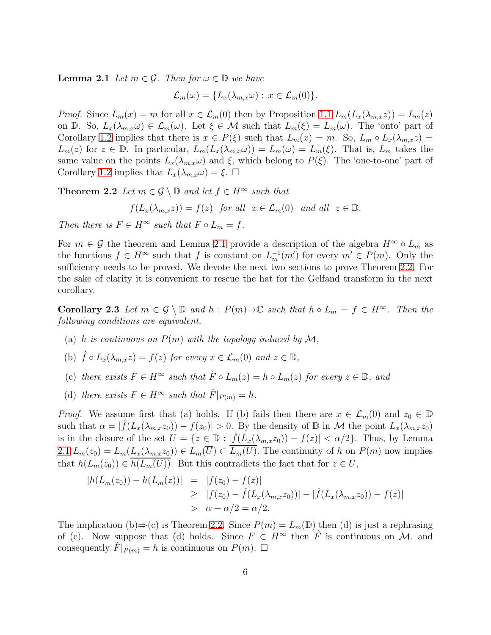**Lemma 2.1** Let  $m \in \mathcal{G}$ . Then for  $\omega \in \mathbb{D}$  we have

$$
\mathcal{L}_m(\omega) = \{ L_x(\lambda_{m,x}\omega) : x \in \mathcal{L}_m(0) \}.
$$

*Proof.* Since  $L_m(x) = m$  for all  $x \in \mathcal{L}_m(0)$  then by Proposition [1.1](#page-3-0)  $L_m(L_x(\lambda_{m,x}z)) = L_m(z)$ on D. So,  $L_x(\lambda_{m,x}\omega) \in \mathcal{L}_m(\omega)$ . Let  $\xi \in \mathcal{M}$  such that  $L_m(\xi) = L_m(\omega)$ . The 'onto' part of Corollary [1.2](#page-4-0) implies that there is  $x \in P(\xi)$  such that  $L_m(x) = m$ . So,  $L_m \circ L_x(\lambda_{m,x}z) =$  $L_m(z)$  for  $z \in \mathbb{D}$ . In particular,  $L_m(L_x(\lambda_{m,x}\omega)) = L_m(\omega) = L_m(\xi)$ . That is,  $L_m$  takes the same value on the points  $L_x(\lambda_{m,x}\omega)$  and  $\xi$ , which belong to  $P(\xi)$ . The 'one-to-one' part of Corollary [1.2](#page-4-0) implies that  $L_x(\lambda_{m,x}\omega) = \xi$ .  $\Box$ 

<span id="page-5-0"></span>**Theorem 2.2** Let  $m \in \mathcal{G} \setminus \mathbb{D}$  and let  $f \in H^{\infty}$  such that

$$
f(L_x(\lambda_{m,x}z)) = f(z) \text{ for all } x \in \mathcal{L}_m(0) \text{ and all } z \in \mathbb{D}
$$

Then there is  $F \in H^{\infty}$  such that  $F \circ L_m = f$ .

For  $m \in \mathcal{G}$  the theorem and Lemma [2.1](#page-4-1) provide a description of the algebra  $H^{\infty} \circ L_m$  as the functions  $f \in H^{\infty}$  such that f is constant on  $L_m^{-1}(m')$  for every  $m' \in P(m)$ . Only the sufficiency needs to be proved. We devote the next two sections to prove Theorem [2.2.](#page-5-0) For the sake of clarity it is convenient to rescue the hat for the Gelfand transform in the next corollary.

<span id="page-5-1"></span>**Corollary 2.3** Let  $m \in \mathcal{G} \setminus \mathbb{D}$  and  $h : P(m) \to \mathbb{C}$  such that  $h \circ L_m = f \in H^\infty$ . Then the following conditions are equivalent.

- (a) h is continuous on  $P(m)$  with the topology induced by  $\mathcal{M}$ ,
- (b)  $\hat{f} \circ L_x(\lambda_{m,x}z) = f(z)$  for every  $x \in \mathcal{L}_m(0)$  and  $z \in \mathbb{D}$ ,
- (c) there exists  $F \in H^{\infty}$  such that  $\hat{F} \circ L_m(z) = h \circ L_m(z)$  for every  $z \in \mathbb{D}$ , and
- (d) there exists  $F \in H^{\infty}$  such that  $\hat{F}|_{P(m)} = h$ .

*Proof.* We assume first that (a) holds. If (b) fails then there are  $x \in \mathcal{L}_m(0)$  and  $z_0 \in \mathbb{D}$ such that  $\alpha = |\hat{f}(L_x(\lambda_{m,x}z_0)) - f(z_0)| > 0$ . By the density of  $\mathbb D$  in M the point  $L_x(\lambda_{m,x}z_0)$ is in the closure of the set  $U = \{z \in \mathbb{D} : |\hat{f}(L_x(\lambda_{m,x}z_0)) - f(z)| < \alpha/2\}$ . Thus, by Lemma [2.1](#page-4-1)  $L_m(z_0) = L_m(\underline{L_x(\lambda_{m,x}z_0)}) \in L_m(\overline{U}) \subset \overline{L_m(U)}$ . The continuity of h on  $P(m)$  now implies that  $h(L_m(z_0)) \in \overline{h(L_m(U))}$ . But this contradicts the fact that for  $z \in U$ ,

$$
|h(L_m(z_0)) - h(L_m(z))| = |f(z_0) - f(z)|
$$
  
\n
$$
\geq |f(z_0) - \hat{f}(L_x(\lambda_{m,x}z_0))| - |\hat{f}(L_x(\lambda_{m,x}z_0)) - f(z)|
$$
  
\n
$$
> \alpha - \alpha/2 = \alpha/2.
$$

The implication (b)⇒(c) is Theorem [2.2.](#page-5-0) Since  $P(m) = L_m(\mathbb{D})$  then (d) is just a rephrasing of (c). Now suppose that (d) holds. Since  $F \in H^{\infty}$  then  $\hat{F}$  is continuous on M, and consequently  $\hat{F}|_{P(m)} = h$  is continuous on  $P(m)$ .  $\Box$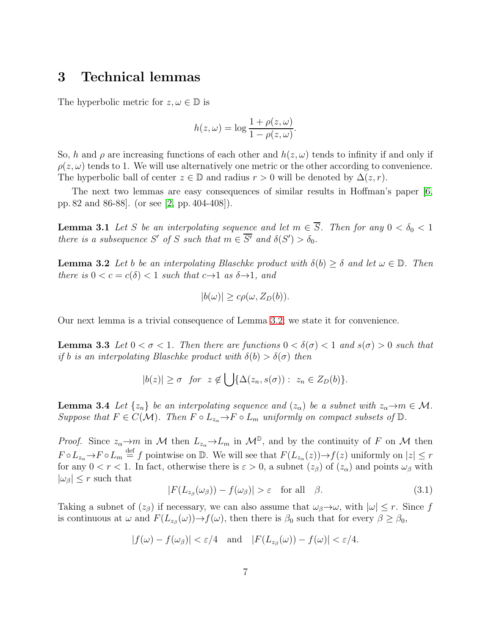#### 3 Technical lemmas

The hyperbolic metric for  $z, \omega \in \mathbb{D}$  is

$$
h(z, \omega) = \log \frac{1 + \rho(z, \omega)}{1 - \rho(z, \omega)}.
$$

So, h and  $\rho$  are increasing functions of each other and  $h(z, \omega)$  tends to infinity if and only if  $\rho(z,\omega)$  tends to 1. We will use alternatively one metric or the other according to convenience. The hyperbolic ball of center  $z \in \mathbb{D}$  and radius  $r > 0$  will be denoted by  $\Delta(z, r)$ .

<span id="page-6-4"></span>The next two lemmas are easy consequences of similar results in Hoffman's paper [\[6,](#page-17-0) pp. 82 and 86-88]. (or see [\[2,](#page-17-8) pp. 404-408]).

**Lemma 3.1** Let S be an interpolating sequence and let  $m \in \overline{S}$ . Then for any  $0 < \delta_0 < 1$ there is a subsequence S' of S such that  $m \in \overline{S'}$  and  $\delta(S') > \delta_0$ .

<span id="page-6-0"></span>**Lemma 3.2** Let b be an interpolating Blaschke product with  $\delta(b) \geq \delta$  and let  $\omega \in \mathbb{D}$ . Then there is  $0 < c = c(\delta) < 1$  such that  $c \rightarrow 1$  as  $\delta \rightarrow 1$ , and

$$
|b(\omega)| \geq c\rho(\omega, Z_D(b)).
$$

<span id="page-6-3"></span>Our next lemma is a trivial consequence of Lemma [3.2;](#page-6-0) we state it for convenience.

**Lemma 3.3** Let  $0 < \sigma < 1$ . Then there are functions  $0 < \delta(\sigma) < 1$  and  $s(\sigma) > 0$  such that if b is an interpolating Blaschke product with  $\delta(b) > \delta(\sigma)$  then

$$
|b(z)| \geq \sigma \quad \text{for} \quad z \notin \bigcup \{ \Delta(z_n, s(\sigma)) : z_n \in Z_D(b) \}.
$$

<span id="page-6-2"></span>**Lemma 3.4** Let  $\{z_n\}$  be an interpolating sequence and  $(z_\alpha)$  be a subnet with  $z_\alpha \to m \in \mathcal{M}$ . Suppose that  $F \in C(\mathcal{M})$ . Then  $F \circ L_{z_\alpha} \to F \circ L_m$  uniformly on compact subsets of  $\mathbb{D}$ .

*Proof.* Since  $z_{\alpha} \to m$  in M then  $L_{z_{\alpha}} \to L_m$  in  $\mathcal{M}^{\mathbb{D}}$ , and by the continuity of F on M then  $F \circ L_{z_\alpha} \to F \circ L_m \stackrel{\text{def}}{=} f$  pointwise on D. We will see that  $F(L_{z_\alpha}(z)) \to f(z)$  uniformly on  $|z| \leq r$ for any  $0 < r < 1$ . In fact, otherwise there is  $\varepsilon > 0$ , a subnet  $(z_\beta)$  of  $(z_\alpha)$  and points  $\omega_\beta$  with  $|\omega_{\beta}| \leq r$  such that

<span id="page-6-1"></span>
$$
|F(L_{z_{\beta}}(\omega_{\beta})) - f(\omega_{\beta})| > \varepsilon \quad \text{for all} \quad \beta.
$$
 (3.1)

Taking a subnet of  $(z_\beta)$  if necessary, we can also assume that  $\omega_\beta \rightarrow \omega$ , with  $|\omega| \leq r$ . Since f is continuous at  $\omega$  and  $F(L_{z_{\beta}}(\omega)) \to f(\omega)$ , then there is  $\beta_0$  such that for every  $\beta \ge \beta_0$ ,

$$
|f(\omega) - f(\omega_{\beta})| < \varepsilon/4 \quad \text{and} \quad |F(L_{z_{\beta}}(\omega)) - f(\omega)| < \varepsilon/4.
$$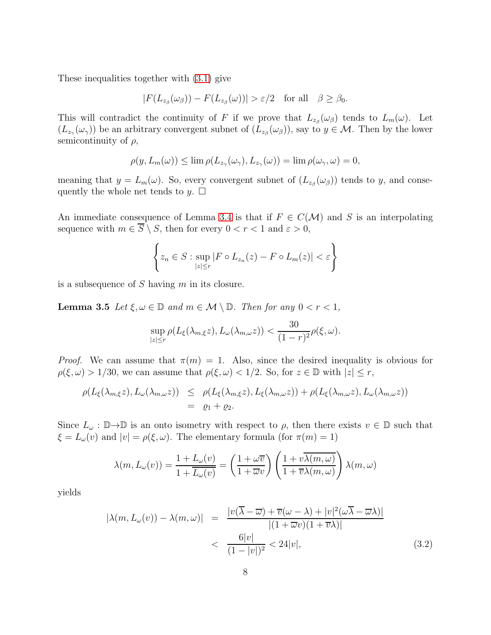These inequalities together with [\(3.1\)](#page-6-1) give

$$
|F(L_{z_{\beta}}(\omega_{\beta}))-F(L_{z_{\beta}}(\omega))|>\varepsilon/2 \quad \text{for all} \quad \beta \geq \beta_0.
$$

This will contradict the continuity of F if we prove that  $L_{z_{\beta}}(\omega_{\beta})$  tends to  $L_m(\omega)$ . Let  $(L_{z_{\gamma}}(\omega_{\gamma}))$  be an arbitrary convergent subnet of  $(L_{z_{\beta}}(\omega_{\beta}))$ , say to  $y \in M$ . Then by the lower semicontinuity of  $\rho$ ,

$$
\rho(y, L_m(\omega)) \leq \lim \rho(L_{z_\gamma}(\omega_\gamma), L_{z_\gamma}(\omega)) = \lim \rho(\omega_\gamma, \omega) = 0,
$$

meaning that  $y = L_m(\omega)$ . So, every convergent subnet of  $(L_{z_\beta}(\omega_\beta))$  tends to y, and consequently the whole net tends to  $y$ .  $\Box$ 

An immediate consequence of Lemma [3.4](#page-6-2) is that if  $F \in C(\mathcal{M})$  and S is an interpolating sequence with  $m \in \overline{S} \setminus S$ , then for every  $0 < r < 1$  and  $\varepsilon > 0$ ,

$$
\left\{ z_n \in S : \sup_{|z| \le r} |F \circ L_{z_n}(z) - F \circ L_m(z)| < \varepsilon \right\}
$$

<span id="page-7-1"></span>is a subsequence of  $S$  having  $m$  in its closure.

**Lemma 3.5** Let  $\xi, \omega \in \mathbb{D}$  and  $m \in \mathcal{M} \setminus \mathbb{D}$ . Then for any  $0 < r < 1$ ,

$$
\sup_{|z| \le r} \rho(L_{\xi}(\lambda_{m,\xi}z), L_{\omega}(\lambda_{m,\omega}z)) < \frac{30}{(1-r)^2} \rho(\xi, \omega).
$$

*Proof.* We can assume that  $\pi(m) = 1$ . Also, since the desired inequality is obvious for  $\rho(\xi,\omega) > 1/30$ , we can assume that  $\rho(\xi,\omega) < 1/2$ . So, for  $z \in \mathbb{D}$  with  $|z| \leq r$ ,

$$
\rho(L_{\xi}(\lambda_{m,\xi}z), L_{\omega}(\lambda_{m,\omega}z)) \leq \rho(L_{\xi}(\lambda_{m,\xi}z), L_{\xi}(\lambda_{m,\omega}z)) + \rho(L_{\xi}(\lambda_{m,\omega}z), L_{\omega}(\lambda_{m,\omega}z))
$$
  
=  $\varrho_1 + \varrho_2$ .

Since  $L_{\omega} : \mathbb{D} \to \mathbb{D}$  is an onto isometry with respect to  $\rho$ , then there exists  $v \in \mathbb{D}$  such that  $\xi = L_{\omega}(v)$  and  $|v| = \rho(\xi, \omega)$ . The elementary formula (for  $\pi(m) = 1$ )

$$
\lambda(m, L_{\omega}(v)) = \frac{1 + L_{\omega}(v)}{1 + \overline{L_{\omega}(v)}} = \left(\frac{1 + \omega \overline{v}}{1 + \overline{\omega}v}\right) \left(\frac{1 + v\overline{\lambda(m, \omega)}}{1 + \overline{v}\lambda(m, \omega)}\right) \lambda(m, \omega)
$$

yields

<span id="page-7-0"></span>
$$
|\lambda(m, L_{\omega}(v)) - \lambda(m, \omega)| = \frac{|v(\overline{\lambda} - \overline{\omega}) + \overline{v}(\omega - \lambda) + |v|^2(\omega \overline{\lambda} - \overline{\omega}\lambda)|}{|(1 + \overline{\omega}v)(1 + \overline{v}\lambda)|} < \frac{6|v|}{(1 - |v|)^2} < 24|v|,
$$
\n(3.2)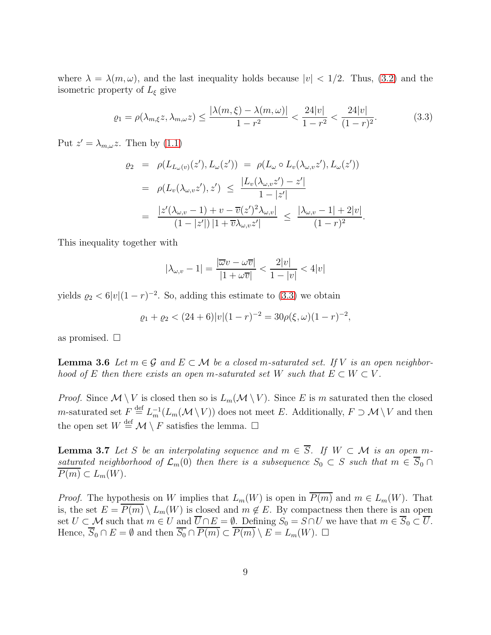where  $\lambda = \lambda(m,\omega)$ , and the last inequality holds because  $|v| < 1/2$ . Thus, [\(3.2\)](#page-7-0) and the isometric property of  $L_{\xi}$  give

<span id="page-8-0"></span>
$$
\varrho_1 = \rho(\lambda_{m,\xi}z, \lambda_{m,\omega}z) \le \frac{|\lambda(m,\xi) - \lambda(m,\omega)|}{1 - r^2} < \frac{24|v|}{1 - r^2} < \frac{24|v|}{(1 - r)^2}.\tag{3.3}
$$

Put  $z' = \lambda_{m,\omega} z$ . Then by [\(1.1\)](#page-3-1)

$$
\varrho_2 = \rho(L_{L_{\omega}(v)}(z'), L_{\omega}(z')) = \rho(L_{\omega} \circ L_v(\lambda_{\omega, v} z'), L_{\omega}(z'))
$$
  
\n
$$
= \rho(L_v(\lambda_{\omega, v} z'), z') \le \frac{|L_v(\lambda_{\omega, v} z') - z'|}{1 - |z'|}
$$
  
\n
$$
= \frac{|z'(\lambda_{\omega, v} - 1) + v - \overline{v}(z')^2 \lambda_{\omega, v}|}{(1 - |z'|) |1 + \overline{v} \lambda_{\omega, v} z'|} \le \frac{|\lambda_{\omega, v} - 1| + 2|v|}{(1 - r)^2}.
$$

This inequality together with

$$
|\lambda_{\omega,v} - 1| = \frac{|\overline{\omega}v - \omega\overline{v}|}{|1 + \omega\overline{v}|} < \frac{2|v|}{1 - |v|} < 4|v|
$$

yields  $\rho_2 < 6|v|(1-r)^{-2}$ . So, adding this estimate to [\(3.3\)](#page-8-0) we obtain

$$
\varrho_1 + \varrho_2 < (24+6)|v|(1-r)^{-2} = 30\rho(\xi,\omega)(1-r)^{-2},
$$

<span id="page-8-2"></span>as promised.  $\square$ 

**Lemma 3.6** Let  $m \in \mathcal{G}$  and  $E \subset \mathcal{M}$  be a closed m-saturated set. If V is an open neighborhood of E then there exists an open m-saturated set W such that  $E \subset W \subset V$ .

*Proof.* Since  $\mathcal{M} \setminus V$  is closed then so is  $L_m(\mathcal{M} \setminus V)$ . Since E is m saturated then the closed *m*-saturated set  $F \stackrel{\text{def}}{=} L_m^{-1}(L_m(\mathcal{M} \setminus V))$  does not meet E. Additionally,  $F \supset \mathcal{M} \setminus V$  and then the open set  $W \stackrel{\text{def}}{=} \mathcal{M} \setminus F$  satisfies the lemma.  $\Box$ 

<span id="page-8-3"></span>**Lemma 3.7** Let S be an interpolating sequence and  $m \in \overline{S}$ . If  $W \subset \mathcal{M}$  is an open msaturated neighborhood of  $\mathcal{L}_m(0)$  then there is a subsequence  $S_0 \subset S$  such that  $m \in \overline{S}_0 \cap$  $\overline{P(m)} \subset L_m(W)$ .

<span id="page-8-1"></span>*Proof.* The hypothesis on W implies that  $L_m(W)$  is open in  $\overline{P(m)}$  and  $m \in L_m(W)$ . That is, the set  $E = \overline{P(m)} \setminus L_m(W)$  is closed and  $m \notin E$ . By compactness then there is an open set  $U \subset M$  such that  $m \in U$  and  $\overline{U \cap E} = \emptyset$ . Defining  $S_0 = S \cap U$  we have that  $m \in \overline{S_0} \subset \overline{U}$ . Hence,  $\overline{S}_0 \cap E = \emptyset$  and then  $\overline{S_0} \cap \overline{P(m)} \subset \overline{P(m)} \setminus E = L_m(W)$ .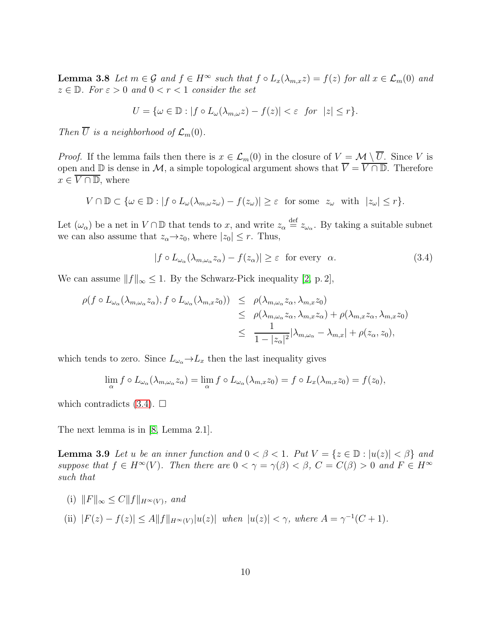**Lemma 3.8** Let  $m \in \mathcal{G}$  and  $f \in H^{\infty}$  such that  $f \circ L_x(\lambda_{m,x}z) = f(z)$  for all  $x \in \mathcal{L}_m(0)$  and  $z \in \mathbb{D}$ . For  $\varepsilon > 0$  and  $0 < r < 1$  consider the set

$$
U = \{ \omega \in \mathbb{D} : |f \circ L_{\omega}(\lambda_{m,\omega} z) - f(z)| < \varepsilon \text{ for } |z| \le r \}.
$$

Then  $\overline{U}$  is a neighborhood of  $\mathcal{L}_m(0)$ .

*Proof.* If the lemma fails then there is  $x \in \mathcal{L}_m(0)$  in the closure of  $V = \mathcal{M} \setminus \overline{U}$ . Since V is open and  $\mathbb D$  is dense in M, a simple topological argument shows that  $\overline{V} = \overline{V \cap \mathbb D}$ . Therefore  $x \in \overline{V \cap \mathbb{D}}$ , where

$$
V \cap \mathbb{D} \subset \{ \omega \in \mathbb{D} : |f \circ L_{\omega}(\lambda_{m,\omega} z_{\omega}) - f(z_{\omega})| \geq \varepsilon \text{ for some } z_{\omega} \text{ with } |z_{\omega}| \leq r \}.
$$

Let  $(\omega_{\alpha})$  be a net in  $V \cap \mathbb{D}$  that tends to x, and write  $z_{\alpha} \stackrel{\text{def}}{=} z_{\omega_{\alpha}}$ . By taking a suitable subnet we can also assume that  $z_{\alpha} \rightarrow z_0$ , where  $|z_0| \leq r$ . Thus,

<span id="page-9-0"></span>
$$
|f \circ L_{\omega_{\alpha}}(\lambda_{m,\omega_{\alpha}} z_{\alpha}) - f(z_{\alpha})| \geq \varepsilon \text{ for every } \alpha.
$$
 (3.4)

We can assume  $||f||_{\infty} \leq 1$ . By the Schwarz-Pick inequality [\[2,](#page-17-8) p. 2],

$$
\rho(f \circ L_{\omega_{\alpha}}(\lambda_{m,\omega_{\alpha}}z_{\alpha}), f \circ L_{\omega_{\alpha}}(\lambda_{m,x}z_{0})) \leq \rho(\lambda_{m,\omega_{\alpha}}z_{\alpha}, \lambda_{m,x}z_{0})
$$
  

$$
\leq \rho(\lambda_{m,\omega_{\alpha}}z_{\alpha}, \lambda_{m,x}z_{\alpha}) + \rho(\lambda_{m,x}z_{\alpha}, \lambda_{m,x}z_{0})
$$
  

$$
\leq \frac{1}{1-|z_{\alpha}|^{2}}|\lambda_{m,\omega_{\alpha}} - \lambda_{m,x}| + \rho(z_{\alpha}, z_{0}),
$$

which tends to zero. Since  $L_{\omega_{\alpha}} \to L_x$  then the last inequality gives

$$
\lim_{\alpha} f \circ L_{\omega_{\alpha}}(\lambda_{m,\omega_{\alpha}} z_{\alpha}) = \lim_{\alpha} f \circ L_{\omega_{\alpha}}(\lambda_{m,x} z_0) = f \circ L_x(\lambda_{m,x} z_0) = f(z_0),
$$

which contradicts  $(3.4)$ .  $\Box$ 

<span id="page-9-1"></span>The next lemma is in [\[8,](#page-17-5) Lemma 2.1].

**Lemma 3.9** Let u be an inner function and  $0 < \beta < 1$ . Put  $V = \{z \in \mathbb{D} : |u(z)| < \beta\}$  and suppose that  $f \in H^{\infty}(V)$ . Then there are  $0 < \gamma = \gamma(\beta) < \beta$ ,  $C = C(\beta) > 0$  and  $F \in H^{\infty}$ such that

- (i)  $||F||_{\infty} \leq C||f||_{H^{\infty}(V)}$ , and
- (ii)  $|F(z) f(z)| \le A ||f||_{H^{\infty}(V)} |u(z)|$  when  $|u(z)| < \gamma$ , where  $A = \gamma^{-1}(C + 1)$ .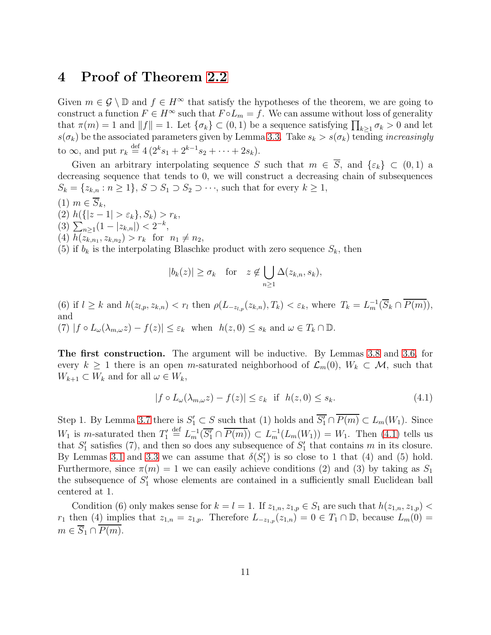#### 4 Proof of Theorem [2.2](#page-5-0)

Given  $m \in \mathcal{G} \setminus \mathbb{D}$  and  $f \in H^\infty$  that satisfy the hypotheses of the theorem, we are going to construct a function  $F \in H^{\infty}$  such that  $F \circ L_m = f$ . We can assume without loss of generality that  $\pi(m) = 1$  and  $||f|| = 1$ . Let  $\{\sigma_k\} \subset (0, 1)$  be a sequence satisfying  $\prod_{k \geq 1} \sigma_k > 0$  and let  $s(\sigma_k)$  be the associated parameters given by Lemma [3.3.](#page-6-3) Take  $s_k > s(\sigma_k)$  tending *increasingly* to  $\infty$ , and put  $r_k \stackrel{\text{def}}{=} 4(2^k s_1 + 2^{k-1} s_2 + \cdots + 2s_k).$ 

Given an arbitrary interpolating sequence S such that  $m \in \overline{S}$ , and  $\{\varepsilon_k\} \subset (0,1)$  a decreasing sequence that tends to 0, we will construct a decreasing chain of subsequences  $S_k = \{z_{k,n} : n \geq 1\}, S \supset S_1 \supset S_2 \supset \cdots$ , such that for every  $k \geq 1$ ,

- $(1)$   $m \in \overline{S_k}$ ,
- (2)  $h({|z-1| > \varepsilon_k}, S_k) > r_k$ ,
- (3)  $\sum_{n\geq 1} (1-|z_{k,n}|) < 2^{-k},$
- (4)  $h(z_{k,n_1}, z_{k,n_2}) > r_k$  for  $n_1 \neq n_2$ ,

(5) if  $b_k$  is the interpolating Blaschke product with zero sequence  $S_k$ , then

$$
|b_k(z)| \ge \sigma_k \quad \text{for} \quad z \notin \bigcup_{n \ge 1} \Delta(z_{k,n}, s_k),
$$

(6) if  $l \geq k$  and  $h(z_{l,p}, z_{k,n}) < r_l$  then  $\rho(L_{-z_{l,p}}(z_{k,n}), T_k) < \varepsilon_k$ , where  $T_k = L_m^{-1}(\overline{S}_k \cap \overline{P(m)})$ , and (7)  $|f \circ L_{\omega}(\lambda_{m,\omega}z) - f(z)| \leq \varepsilon_k$  when  $h(z,0) \leq s_k$  and  $\omega \in T_k \cap \mathbb{D}$ .

The first construction. The argument will be inductive. By Lemmas [3.8](#page-8-1) and [3.6,](#page-8-2) for every  $k \geq 1$  there is an open m-saturated neighborhood of  $\mathcal{L}_m(0)$ ,  $W_k \subset \mathcal{M}$ , such that  $W_{k+1} \subset W_k$  and for all  $\omega \in W_k$ ,

<span id="page-10-0"></span>
$$
|f \circ L_{\omega}(\lambda_{m,\omega} z) - f(z)| \le \varepsilon_k \quad \text{if} \quad h(z,0) \le s_k. \tag{4.1}
$$

Step 1. By Lemma [3.7](#page-8-3) there is  $S'_1 \subset S$  such that (1) holds and  $\overline{S'_1} \cap \overline{P(m)} \subset L_m(W_1)$ . Since  $W_1$  is m-saturated then  $T_1' \stackrel{\text{def}}{=} L_m^{-1}(\overline{S_1'} \cap \overline{P(m)}) \subset L_m^{-1}(L_m(W_1)) = W_1$ . Then [\(4.1\)](#page-10-0) tells us that  $S'_1$  satisfies (7), and then so does any subsequence of  $S'_1$  that contains m in its closure. By Lemmas [3.1](#page-6-4) and [3.3](#page-6-3) we can assume that  $\delta(S'_1)$  is so close to 1 that (4) and (5) hold. Furthermore, since  $\pi(m) = 1$  we can easily achieve conditions (2) and (3) by taking as  $S_1$ the subsequence of  $S'_1$  whose elements are contained in a sufficiently small Euclidean ball centered at 1.

Condition (6) only makes sense for  $k = l = 1$ . If  $z_{1,n}, z_{1,p} \in S_1$  are such that  $h(z_{1,n}, z_{1,p})$  $r_1$  then (4) implies that  $z_{1,n} = z_{1,p}$ . Therefore  $L_{-z_{1,p}}(z_{1,n}) = 0 \in T_1 \cap \mathbb{D}$ , because  $L_m(0) =$  $m \in \overline{S_1 \cap P(m)}$ .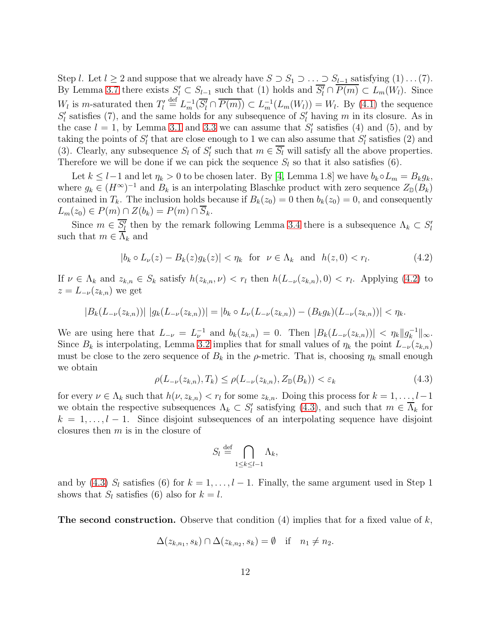Step l. Let  $l \geq 2$  and suppose that we already have  $S \supset S_1 \supset \ldots \supset S_{l-1}$  satisfying  $(1) \ldots (7)$ . By Lemma [3.7](#page-8-3) there exists  $S'_l \subset S_{l-1}$  such that (1) holds and  $\overline{S'_l} \cap \overline{P(m)} \subset L_m(W_l)$ . Since  $W_l$  is m-saturated then  $T_l' \stackrel{\text{def}}{=} L_m^{-1}(\overline{S_l'} \cap \overline{P(m)}) \subset L_m^{-1}(L_m(W_l)) = W_l$ . By [\(4.1\)](#page-10-0) the sequence  $S'_{l}$  satisfies (7), and the same holds for any subsequence of  $S'_{l}$  having m in its closure. As in the case  $l = 1$ , by Lemma [3.1](#page-6-4) and [3.3](#page-6-3) we can assume that  $S'_{l}$  satisfies (4) and (5), and by taking the points of  $S'_{l}$  that are close enough to 1 we can also assume that  $S'_{l}$  satisfies (2) and (3). Clearly, any subsequence  $S_l$  of  $S_l'$  such that  $m \in \overline{S_l}$  will satisfy all the above properties. Therefore we will be done if we can pick the sequence  $S_l$  so that it also satisfies (6).

Let  $k \leq l-1$  and let  $\eta_k > 0$  to be chosen later. By [\[4,](#page-17-3) Lemma 1.8] we have  $b_k \circ L_m = B_k g_k$ , where  $g_k \in (H^{\infty})^{-1}$  and  $B_k$  is an interpolating Blaschke product with zero sequence  $Z_{\mathbb{D}}(B_k)$ contained in  $T_k$ . The inclusion holds because if  $B_k(z_0) = 0$  then  $b_k(z_0) = 0$ , and consequently  $L_m(z_0) \in P(m) \cap Z(b_k) = P(m) \cap \overline{S}_k$ .

Since  $m \in \overline{S'_l}$  then by the remark following Lemma [3.4](#page-6-2) there is a subsequence  $\Lambda_k \subset S'_l$ such that  $m \in \overline{\Lambda}_k$  and

<span id="page-11-0"></span>
$$
|b_k \circ L_{\nu}(z) - B_k(z)g_k(z)| < \eta_k \quad \text{for} \quad \nu \in \Lambda_k \quad \text{and} \quad h(z,0) < r_l. \tag{4.2}
$$

If  $\nu \in \Lambda_k$  and  $z_{k,n} \in S_k$  satisfy  $h(z_{k,n}, \nu) < r_l$  then  $h(L_{-\nu}(z_{k,n}), 0) < r_l$ . Applying [\(4.2\)](#page-11-0) to  $z = L_{-\nu}(z_{k,n})$  we get

$$
|B_k(L_{-\nu}(z_{k,n}))| |g_k(L_{-\nu}(z_{k,n}))| = |b_k \circ L_{\nu}(L_{-\nu}(z_{k,n})) - (B_k g_k)(L_{-\nu}(z_{k,n}))| < \eta_k.
$$

We are using here that  $L_{-\nu} = L_{\nu}^{-1}$  and  $b_k(z_{k,n}) = 0$ . Then  $|B_k(L_{-\nu}(z_{k,n}))| < \eta_k ||g_k^{-1}$  $\frac{-1}{k}$ || $\infty$ . Since  $B_k$  is interpolating, Lemma [3.2](#page-6-0) implies that for small values of  $\eta_k$  the point  $L_{-\nu}(z_{k,n})$ must be close to the zero sequence of  $B_k$  in the  $\rho$ -metric. That is, choosing  $\eta_k$  small enough we obtain

<span id="page-11-1"></span>
$$
\rho(L_{-\nu}(z_{k,n}),T_k) \le \rho(L_{-\nu}(z_{k,n}),Z_{\mathbb{D}}(B_k)) < \varepsilon_k \tag{4.3}
$$

for every  $\nu \in \Lambda_k$  such that  $h(\nu, z_{k,n}) < r_l$  for some  $z_{k,n}$ . Doing this process for  $k = 1, \ldots, l-1$ we obtain the respective subsequences  $\Lambda_k \subset S'_l$  satisfying [\(4.3\)](#page-11-1), and such that  $m \in \overline{\Lambda}_k$  for  $k = 1, \ldots, l - 1$ . Since disjoint subsequences of an interpolating sequence have disjoint closures then m is in the closure of

$$
S_l \stackrel{\text{def}}{=} \bigcap_{1 \le k \le l-1} \Lambda_k,
$$

and by [\(4.3\)](#page-11-1)  $S_l$  satisfies (6) for  $k = 1, \ldots, l - 1$ . Finally, the same argument used in Step 1 shows that  $S_l$  satisfies (6) also for  $k = l$ .

**The second construction.** Observe that condition  $(4)$  implies that for a fixed value of k,

$$
\Delta(z_{k,n_1},s_k)\cap\Delta(z_{k,n_2},s_k)=\emptyset \quad \text{if} \quad n_1\neq n_2.
$$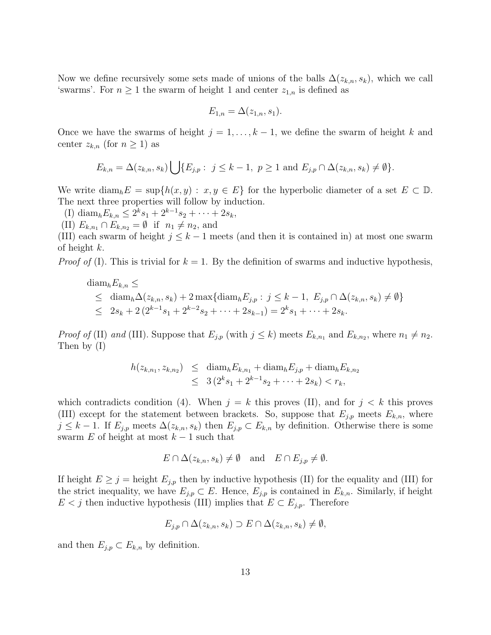Now we define recursively some sets made of unions of the balls  $\Delta(z_{k,n}, s_k)$ , which we call 'swarms'. For  $n \geq 1$  the swarm of height 1 and center  $z_{1,n}$  is defined as

$$
E_{1,n} = \Delta(z_{1,n}, s_1).
$$

Once we have the swarms of height  $j = 1, \ldots, k - 1$ , we define the swarm of height k and center  $z_{k,n}$  (for  $n \geq 1$ ) as

$$
E_{k,n} = \Delta(z_{k,n}, s_k) \bigcup \{ E_{j,p} : j \le k-1, p \ge 1 \text{ and } E_{j,p} \cap \Delta(z_{k,n}, s_k) \neq \emptyset \}.
$$

We write  $\text{diam}_h E = \sup\{h(x, y) : x, y \in E\}$  for the hyperbolic diameter of a set  $E \subset \mathbb{D}$ . The next three properties will follow by induction.

(I) diam<sub>h</sub> $E_{k,n} \leq 2^k s_1 + 2^{k-1} s_2 + \cdots + 2s_k$ ,

(II)  $E_{k,n_1} \cap E_{k,n_2} = \emptyset$  if  $n_1 \neq n_2$ , and

(III) each swarm of height  $j \leq k-1$  meets (and then it is contained in) at most one swarm of height  $k$ .

*Proof of* (I). This is trivial for  $k = 1$ . By the definition of swarms and inductive hypothesis,

$$
\begin{aligned}\n\text{diam}_{h} E_{k,n} &\leq \\
&\leq \text{diam}_{h} \Delta(z_{k,n}, s_k) + 2 \max \{ \text{diam}_{h} E_{j,p} : j \leq k-1, \ E_{j,p} \cap \Delta(z_{k,n}, s_k) \neq \emptyset \} \\
&\leq 2s_k + 2 \left( 2^{k-1} s_1 + 2^{k-2} s_2 + \dots + 2s_{k-1} \right) = 2^k s_1 + \dots + 2s_k.\n\end{aligned}
$$

*Proof of* (II) and (III). Suppose that  $E_{j,p}$  (with  $j \leq k$ ) meets  $E_{k,n_1}$  and  $E_{k,n_2}$ , where  $n_1 \neq n_2$ . Then by (I)

$$
h(z_{k,n_1}, z_{k,n_2}) \leq \text{diam}_h E_{k,n_1} + \text{diam}_h E_{j,p} + \text{diam}_h E_{k,n_2}
$$
  

$$
\leq 3(2^k s_1 + 2^{k-1} s_2 + \dots + 2s_k) < r_k,
$$

which contradicts condition (4). When  $j = k$  this proves (II), and for  $j < k$  this proves (III) except for the statement between brackets. So, suppose that  $E_{i,p}$  meets  $E_{k,n}$ , where  $j \leq k-1$ . If  $E_{j,p}$  meets  $\Delta(z_{k,n}, s_k)$  then  $E_{j,p} \subset E_{k,n}$  by definition. Otherwise there is some swarm E of height at most  $k-1$  such that

$$
E \cap \Delta(z_{k,n}, s_k) \neq \emptyset
$$
 and  $E \cap E_{j,p} \neq \emptyset$ .

If height  $E \geq j =$  height  $E_{i,p}$  then by inductive hypothesis (II) for the equality and (III) for the strict inequality, we have  $E_{j,p} \subset E$ . Hence,  $E_{j,p}$  is contained in  $E_{k,n}$ . Similarly, if height  $E < j$  then inductive hypothesis (III) implies that  $E \subset E_{j,p}$ . Therefore

$$
E_{j,p} \cap \Delta(z_{k,n}, s_k) \supset E \cap \Delta(z_{k,n}, s_k) \neq \emptyset,
$$

and then  $E_{j,p} \subset E_{k,n}$  by definition.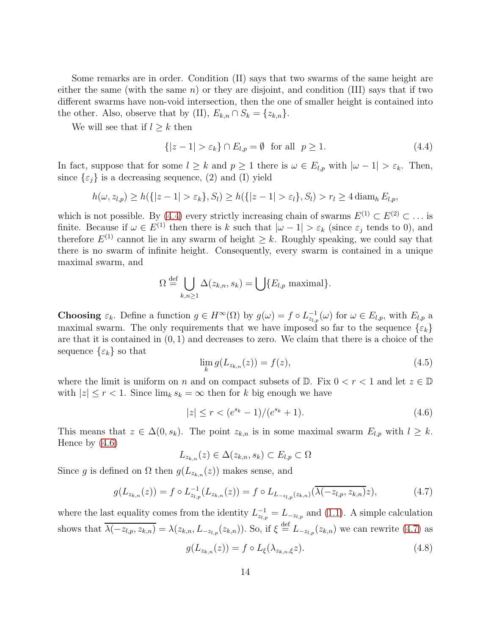Some remarks are in order. Condition (II) says that two swarms of the same height are either the same (with the same  $n$ ) or they are disjoint, and condition (III) says that if two different swarms have non-void intersection, then the one of smaller height is contained into the other. Also, observe that by (II),  $E_{k,n} \cap S_k = \{z_{k,n}\}.$ 

We will see that if  $l \geq k$  then

<span id="page-13-0"></span>
$$
\{|z - 1| > \varepsilon_k\} \cap E_{l,p} = \emptyset \text{ for all } p \ge 1.
$$
\n(4.4)

In fact, suppose that for some  $l \geq k$  and  $p \geq 1$  there is  $\omega \in E_{l,p}$  with  $|\omega - 1| > \varepsilon_k$ . Then, since  $\{\varepsilon_j\}$  is a decreasing sequence, (2) and (I) yield

$$
h(\omega, z_{l,p}) \ge h(\{|z-1| > \varepsilon_k\}, S_l) \ge h(\{|z-1| > \varepsilon_l\}, S_l) > r_l \ge 4 \operatorname{diam}_h E_{l,p},
$$

which is not possible. By [\(4.4\)](#page-13-0) every strictly increasing chain of swarms  $E^{(1)} \subset E^{(2)} \subset \ldots$  is finite. Because if  $\omega \in E^{(1)}$  then there is k such that  $|\omega - 1| > \varepsilon_k$  (since  $\varepsilon_j$  tends to 0), and therefore  $E^{(1)}$  cannot lie in any swarm of height  $\geq k$ . Roughly speaking, we could say that there is no swarm of infinite height. Consequently, every swarm is contained in a unique maximal swarm, and

$$
\Omega \stackrel{\text{def}}{=} \bigcup_{k,n \geq 1} \Delta(z_{k,n}, s_k) = \bigcup \{E_{l,p} \text{ maximal}\}.
$$

**Choosing**  $\varepsilon_k$ . Define a function  $g \in H^{\infty}(\Omega)$  by  $g(\omega) = f \circ L_{z_{l,p}}^{-1}(\omega)$  for  $\omega \in E_{l,p}$ , with  $E_{l,p}$  a maximal swarm. The only requirements that we have imposed so far to the sequence  $\{\varepsilon_k\}$ are that it is contained in  $(0, 1)$  and decreases to zero. We claim that there is a choice of the sequence  $\{\varepsilon_k\}$  so that

<span id="page-13-4"></span>
$$
\lim_{k} g(L_{z_{k,n}}(z)) = f(z),
$$
\n(4.5)

where the limit is uniform on n and on compact subsets of  $\mathbb{D}$ . Fix  $0 < r < 1$  and let  $z \in \mathbb{D}$ with  $|z| \leq r < 1$ . Since  $\lim_k s_k = \infty$  then for k big enough we have

<span id="page-13-1"></span>
$$
|z| \le r < (e^{s_k} - 1) / (e^{s_k} + 1). \tag{4.6}
$$

This means that  $z \in \Delta(0, s_k)$ . The point  $z_{k,n}$  is in some maximal swarm  $E_{l,p}$  with  $l \geq k$ . Hence by [\(4.6\)](#page-13-1)

$$
L_{z_{k,n}}(z) \in \Delta(z_{k,n}, s_k) \subset E_{l,p} \subset \Omega
$$

Since g is defined on  $\Omega$  then  $g(L_{z_{k,n}}(z))$  makes sense, and

<span id="page-13-2"></span>
$$
g(L_{z_{k,n}}(z)) = f \circ L_{z_{l,p}}^{-1}(L_{z_{k,n}}(z)) = f \circ L_{L_{-z_{l,p}}(z_{k,n})}(\overline{\lambda(-z_{l,p}, z_{k,n})}z),
$$
\n(4.7)

where the last equality comes from the identity  $L_{z_{l,p}}^{-1} = L_{-z_{l,p}}$  and [\(1.1\)](#page-3-1). A simple calculation shows that  $\overline{\lambda(-z_{l,p}, z_{k,n})} = \lambda(z_{k,n}, L_{-z_{l,p}}(z_{k,n}))$ . So, if  $\xi \stackrel{\text{def}}{=} L_{-z_{l,p}}(z_{k,n})$  we can rewrite [\(4.7\)](#page-13-2) as

<span id="page-13-3"></span>
$$
g(L_{z_{k,n}}(z)) = f \circ L_{\xi}(\lambda_{z_{k,n},\xi}z). \tag{4.8}
$$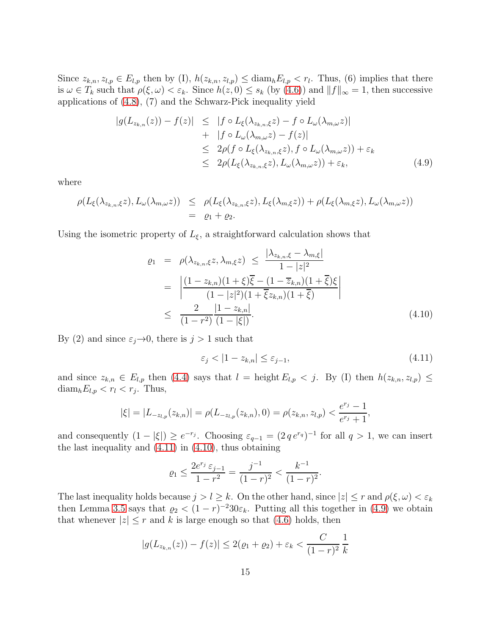Since  $z_{k,n}, z_{l,p} \in E_{l,p}$  then by (I),  $h(z_{k,n}, z_{l,p}) \leq \text{diam}_h E_{l,p} < r_l$ . Thus, (6) implies that there is  $\omega \in T_k$  such that  $\rho(\xi, \omega) < \varepsilon_k$ . Since  $h(z, 0) \leq s_k$  (by [\(4.6\)](#page-13-1)) and  $||f||_{\infty} = 1$ , then successive applications of [\(4.8\)](#page-13-3), (7) and the Schwarz-Pick inequality yield

<span id="page-14-2"></span>
$$
|g(L_{z_{k,n}}(z)) - f(z)| \leq |f \circ L_{\xi}(\lambda_{z_{k,n},\xi}z) - f \circ L_{\omega}(\lambda_{m,\omega}z)|
$$
  
+ |f \circ L\_{\omega}(\lambda\_{m,\omega}z) - f(z)|  

$$
\leq 2\rho(f \circ L_{\xi}(\lambda_{z_{k,n},\xi}z), f \circ L_{\omega}(\lambda_{m,\omega}z)) + \varepsilon_k
$$
  

$$
\leq 2\rho(L_{\xi}(\lambda_{z_{k,n},\xi}z), L_{\omega}(\lambda_{m,\omega}z)) + \varepsilon_k,
$$
 (4.9)

where

$$
\rho(L_{\xi}(\lambda_{z_{k,n},\xi}z),L_{\omega}(\lambda_{m,\omega}z)) \leq \rho(L_{\xi}(\lambda_{z_{k,n},\xi}z),L_{\xi}(\lambda_{m,\xi}z)) + \rho(L_{\xi}(\lambda_{m,\xi}z),L_{\omega}(\lambda_{m,\omega}z))
$$
  
=  $\varrho_1 + \varrho_2$ .

Using the isometric property of  $L_{\xi}$ , a straightforward calculation shows that

<span id="page-14-1"></span>
$$
\varrho_{1} = \rho(\lambda_{z_{k,n},\xi}z,\lambda_{m,\xi}z) \leq \frac{|\lambda_{z_{k,n},\xi} - \lambda_{m,\xi}|}{1 - |z|^{2}}
$$
\n
$$
= \left| \frac{(1 - z_{k,n})(1 + \xi)\overline{\xi} - (1 - \overline{z}_{k,n})(1 + \overline{\xi})\xi}{(1 - |z|^{2})(1 + \overline{\xi}z_{k,n})(1 + \overline{\xi})} \right|
$$
\n
$$
\leq \frac{2}{(1 - r^{2})} \frac{|1 - z_{k,n}|}{(1 - |\xi|)}.
$$
\n(4.10)

By (2) and since  $\varepsilon_j \to 0$ , there is  $j > 1$  such that

<span id="page-14-0"></span>
$$
\varepsilon_j < |1 - z_{k,n}| \le \varepsilon_{j-1},\tag{4.11}
$$

and since  $z_{k,n} \in E_{l,p}$  then [\(4.4\)](#page-13-0) says that  $l =$  height  $E_{l,p} < j$ . By (I) then  $h(z_{k,n}, z_{l,p}) \le$  $\text{diam}_h E_{l,p} < r_l < r_j$ . Thus,

$$
|\xi| = |L_{-z_{l,p}}(z_{k,n})| = \rho(L_{-z_{l,p}}(z_{k,n}), 0) = \rho(z_{k,n}, z_{l,p}) < \frac{e^{r_j} - 1}{e^{r_j} + 1},
$$

and consequently  $(1 - |\xi|) \ge e^{-r_j}$ . Choosing  $\varepsilon_{q-1} = (2 q e^{r_q})^{-1}$  for all  $q > 1$ , we can insert the last inequality and  $(4.11)$  in  $(4.10)$ , thus obtaining

$$
\varrho_1 \le \frac{2e^{r_j} \varepsilon_{j-1}}{1 - r^2} = \frac{j^{-1}}{(1 - r)^2} < \frac{k^{-1}}{(1 - r)^2}.
$$

The last inequality holds because  $j > l \geq k$ . On the other hand, since  $|z| \leq r$  and  $\rho(\xi, \omega) < \varepsilon_k$ then Lemma [3.5](#page-7-1) says that  $\varrho_2 < (1 - r)^{-2} 30 \varepsilon_k$ . Putting all this together in [\(4.9\)](#page-14-2) we obtain that whenever  $|z| \leq r$  and k is large enough so that [\(4.6\)](#page-13-1) holds, then

$$
|g(L_{z_{k,n}}(z)) - f(z)| \le 2(\varrho_1 + \varrho_2) + \varepsilon_k < \frac{C}{(1-r)^2} \frac{1}{k}
$$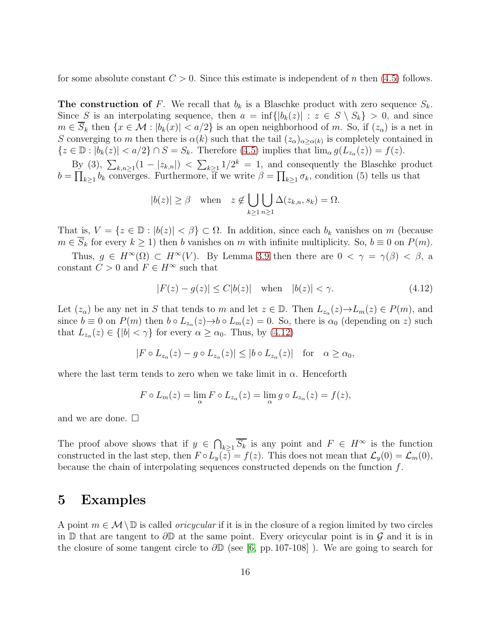for some absolute constant  $C > 0$ . Since this estimate is independent of n then [\(4.5\)](#page-13-4) follows.

**The construction of** F. We recall that  $b_k$  is a Blaschke product with zero sequence  $S_k$ . Since S is an interpolating sequence, then  $a = \inf\{|b_k(z)| : z \in S \setminus S_k\} > 0$ , and since  $m \in \overline{S}_k$  then  $\{x \in \mathcal{M} : |b_k(x)| < a/2\}$  is an open neighborhood of m. So, if  $(z_\alpha)$  is a net in S converging to m then there is  $\alpha(k)$  such that the tail  $(z_{\alpha})_{\alpha \geq \alpha(k)}$  is completely contained in  $\{z \in \mathbb{D} : |b_k(z)| < a/2\} \cap S = S_k$ . Therefore [\(4.5\)](#page-13-4) implies that  $\lim_{\alpha} g(L_{z_{\alpha}}(z)) = f(z)$ .

By (3),  $\sum_{k,n\geq 1} (1-|z_{k,n}|) < \sum_{k\geq 1} 1/2^k = 1$ , and consequently the Blaschke product  $b = \prod_{k\geq 1} b_k$  converges. Furthermore, if we write  $\beta = \prod_{k\geq 1} \sigma_k$ , condition (5) tells us that

$$
|b(z)| \geq \beta \quad \text{when} \quad z \notin \bigcup_{k \geq 1} \bigcup_{n \geq 1} \Delta(z_{k,n}, s_k) = \Omega.
$$

That is,  $V = \{z \in \mathbb{D} : |b(z)| < \beta\} \subset \Omega$ . In addition, since each  $b_k$  vanishes on m (because  $m \in \overline{S}_k$  for every  $k \ge 1$ ) then b vanishes on m with infinite multiplicity. So,  $b \equiv 0$  on  $P(m)$ .

Thus,  $g \in H^{\infty}(\Omega) \subset H^{\infty}(V)$ . By Lemma [3.9](#page-9-1) then there are  $0 < \gamma = \gamma(\beta) < \beta$ , a constant  $C > 0$  and  $F \in H^{\infty}$  such that

<span id="page-15-0"></span>
$$
|F(z) - g(z)| \le C|b(z)| \quad \text{when} \quad |b(z)| < \gamma. \tag{4.12}
$$

Let  $(z_\alpha)$  be any net in S that tends to m and let  $z \in \mathbb{D}$ . Then  $L_{z_\alpha}(z) \to L_m(z) \in P(m)$ , and since  $b \equiv 0$  on  $P(m)$  then  $b \circ L_{z_\alpha}(z) \to b \circ L_m(z) = 0$ . So, there is  $\alpha_0$  (depending on z) such that  $L_{z_\alpha}(z) \in \{|b| < \gamma\}$  for every  $\alpha \ge \alpha_0$ . Thus, by  $(4.12)$ 

$$
|F \circ L_{z_{\alpha}}(z) - g \circ L_{z_{\alpha}}(z)| \le |b \circ L_{z_{\alpha}}(z)| \quad \text{for} \quad \alpha \ge \alpha_0,
$$

where the last term tends to zero when we take limit in  $\alpha$ . Henceforth

$$
F \circ L_m(z) = \lim_{\alpha} F \circ L_{z_\alpha}(z) = \lim_{\alpha} g \circ L_{z_\alpha}(z) = f(z),
$$

and we are done.  $\square$ 

The proof above shows that if  $y \in \bigcap_{k\geq 1} \overline{S_k}$  is any point and  $F \in H^{\infty}$  is the function constructed in the last step, then  $F \circ L_y(z) = f(z)$ . This does not mean that  $\mathcal{L}_y(0) = \mathcal{L}_m(0)$ , because the chain of interpolating sequences constructed depends on the function f.

#### 5 Examples

A point  $m \in \mathcal{M} \setminus \mathbb{D}$  is called *oricycular* if it is in the closure of a region limited by two circles in D that are tangent to  $\partial$ D at the same point. Every oricycular point is in  $\mathcal G$  and it is in the closure of some tangent circle to  $\partial \mathbb{D}$  (see [\[6,](#page-17-0) pp. 107-108]). We are going to search for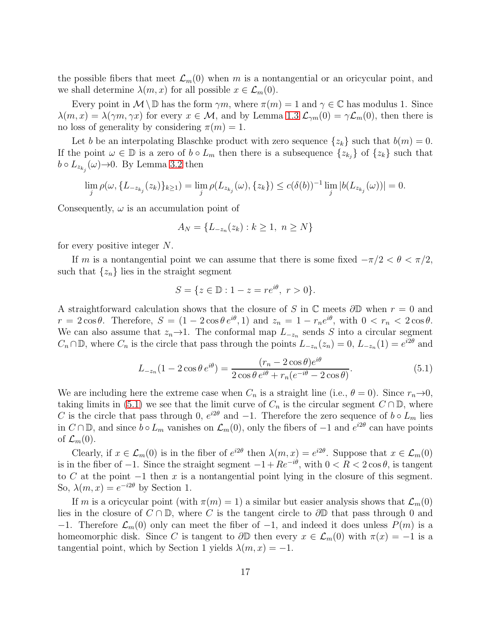the possible fibers that meet  $\mathcal{L}_m(0)$  when m is a nontangential or an oricycular point, and we shall determine  $\lambda(m, x)$  for all possible  $x \in \mathcal{L}_m(0)$ .

Every point in  $\mathcal{M}\setminus\mathbb{D}$  has the form  $\gamma m$ , where  $\pi(m)=1$  and  $\gamma\in\mathbb{C}$  has modulus 1. Since  $\lambda(m, x) = \lambda(\gamma m, \gamma x)$  for every  $x \in \mathcal{M}$ , and by Lemma [1.3](#page-4-2)  $\mathcal{L}_{\gamma m}(0) = \gamma \mathcal{L}_{m}(0)$ , then there is no loss of generality by considering  $\pi(m) = 1$ .

Let b be an interpolating Blaschke product with zero sequence  $\{z_k\}$  such that  $b(m) = 0$ . If the point  $\omega \in \mathbb{D}$  is a zero of  $b \circ L_m$  then there is a subsequence  $\{z_{k_j}\}\$  of  $\{z_k\}$  such that  $b \circ L_{z_{k_j}}(\omega) \rightarrow 0$ . By Lemma [3.2](#page-6-0) then

$$
\lim_{j} \rho(\omega, \{L_{-z_{k_j}}(z_k)\}_{k \ge 1}) = \lim_{j} \rho(L_{z_{k_j}}(\omega), \{z_k\}) \le c(\delta(b))^{-1} \lim_{j} |b(L_{z_{k_j}}(\omega))| = 0.
$$

Consequently,  $\omega$  is an accumulation point of

$$
A_N = \{ L_{-z_n}(z_k) : k \ge 1, \ n \ge N \}
$$

for every positive integer N.

If m is a nontangential point we can assume that there is some fixed  $-\pi/2 < \theta < \pi/2$ , such that  $\{z_n\}$  lies in the straight segment

$$
S = \{ z \in \mathbb{D} : 1 - z = re^{i\theta}, r > 0 \}.
$$

A straightforward calculation shows that the closure of S in  $\mathbb C$  meets  $\partial \mathbb D$  when  $r = 0$  and  $r = 2\cos\theta$ . Therefore,  $S = (1 - 2\cos\theta e^{i\theta}, 1)$  and  $z_n = 1 - r_n e^{i\theta}$ , with  $0 < r_n < 2\cos\theta$ . We can also assume that  $z_n \to 1$ . The conformal map  $L_{-z_n}$  sends S into a circular segment  $C_n \cap \mathbb{D}$ , where  $C_n$  is the circle that pass through the points  $L_{-z_n}(z_n) = 0$ ,  $L_{-z_n}(1) = e^{i2\theta}$  and

<span id="page-16-0"></span>
$$
L_{-z_n}(1 - 2\cos\theta \, e^{i\theta}) = \frac{(r_n - 2\cos\theta)e^{i\theta}}{2\cos\theta e^{i\theta} + r_n(e^{-i\theta} - 2\cos\theta)}.\tag{5.1}
$$

We are including here the extreme case when  $C_n$  is a straight line (i.e.,  $\theta = 0$ ). Since  $r_n \to 0$ , taking limits in [\(5.1\)](#page-16-0) we see that the limit curve of  $C_n$  is the circular segment  $C \cap \mathbb{D}$ , where C is the circle that pass through 0,  $e^{i2\theta}$  and  $-1$ . Therefore the zero sequence of  $b \circ L_m$  lies in  $C \cap \mathbb{D}$ , and since  $b \circ L_m$  vanishes on  $\mathcal{L}_m(0)$ , only the fibers of  $-1$  and  $e^{i2\theta}$  can have points of  $\mathcal{L}_m(0)$ .

Clearly, if  $x \in \mathcal{L}_m(0)$  is in the fiber of  $e^{i2\theta}$  then  $\lambda(m, x) = e^{i2\theta}$ . Suppose that  $x \in \mathcal{L}_m(0)$ is in the fiber of  $-1$ . Since the straight segment  $-1 + Re^{-i\theta}$ , with  $0 < R < 2 \cos \theta$ , is tangent to C at the point  $-1$  then x is a nontangential point lying in the closure of this segment. So,  $\lambda(m, x) = e^{-i2\theta}$  by Section 1.

If m is a oricycular point (with  $\pi(m) = 1$ ) a similar but easier analysis shows that  $\mathcal{L}_m(0)$ lies in the closure of  $C \cap \mathbb{D}$ , where C is the tangent circle to  $\partial \mathbb{D}$  that pass through 0 and −1. Therefore  $\mathcal{L}_m(0)$  only can meet the fiber of −1, and indeed it does unless  $P(m)$  is a homeomorphic disk. Since C is tangent to  $\partial \mathbb{D}$  then every  $x \in \mathcal{L}_m(0)$  with  $\pi(x) = -1$  is a tangential point, which by Section 1 yields  $\lambda(m, x) = -1$ .